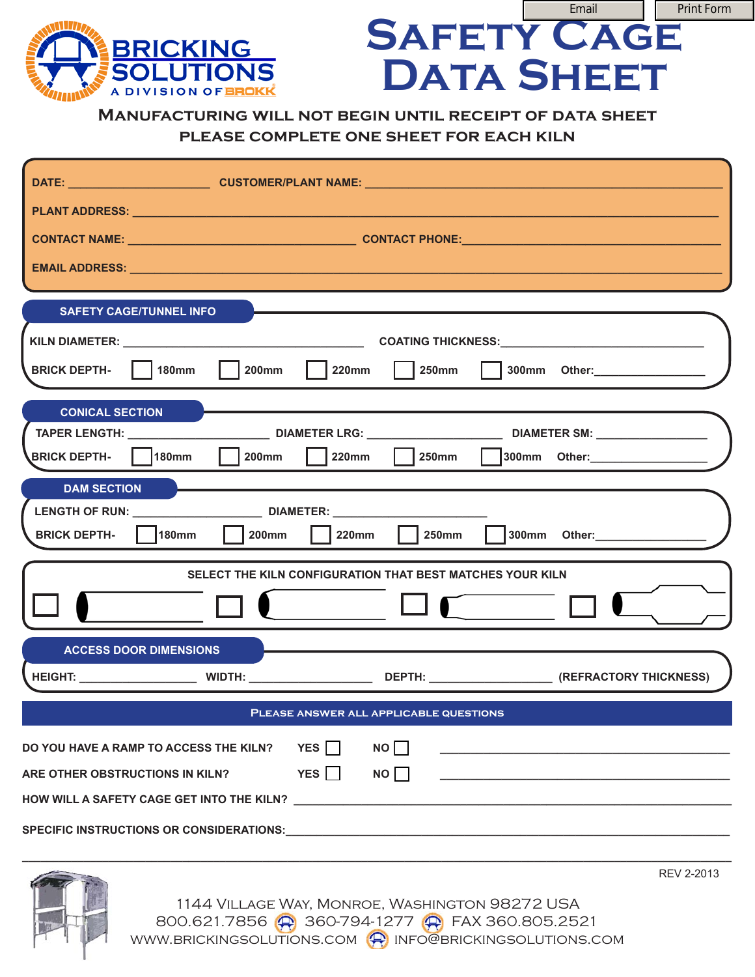

## **Manufacturing will not begin until receipt of data sheet please complete one sheet for each kiln**

**SAFETY CAGE** 

Print Form

**DATA SHEET** 

| PLANT ADDRESS: New York Street, New York Street, New York Street, New York Street, New York Street, New York Street, New York Street, New York Street, New York Street, New York Street, New York Street, New York Street, New |
|--------------------------------------------------------------------------------------------------------------------------------------------------------------------------------------------------------------------------------|
|                                                                                                                                                                                                                                |
| EMAIL ADDRESS: New York State And the Communication of the Communication of the Communication of the Communication                                                                                                             |
| <b>SAFETY CAGE/TUNNEL INFO</b>                                                                                                                                                                                                 |
|                                                                                                                                                                                                                                |
| $200$ mm $\vert$ 220mm<br>BRICK DEPTH-   180mm                                                                                                                                                                                 |
| <b>CONICAL SECTION</b>                                                                                                                                                                                                         |
|                                                                                                                                                                                                                                |
| BRICK DEPTH-   180mm<br>  200mm   220mm<br>  250mm   300mm Other: ______________                                                                                                                                               |
| <b>DAM SECTION</b>                                                                                                                                                                                                             |
|                                                                                                                                                                                                                                |
| $\overline{\phantom{a}}$ 200mm<br>250mm<br>300mm Other: ___________________<br>180mm<br>220mm<br><b>BRICK DEPTH-</b>                                                                                                           |
| SELECT THE KILN CONFIGURATION THAT BEST MATCHES YOUR KILN                                                                                                                                                                      |
|                                                                                                                                                                                                                                |
| <b>ACCESS DOOR DIMENSIONS</b>                                                                                                                                                                                                  |
|                                                                                                                                                                                                                                |
| PLEASE ANSWER ALL APPLICABLE QUESTIONS                                                                                                                                                                                         |
| YES $\Box$<br>NO<br>DO YOU HAVE A RAMP TO ACCESS THE KILN?                                                                                                                                                                     |
| YES $\Box$<br>$NO \Box$<br>ARE OTHER OBSTRUCTIONS IN KILN?                                                                                                                                                                     |
|                                                                                                                                                                                                                                |
|                                                                                                                                                                                                                                |



REV 2-2013